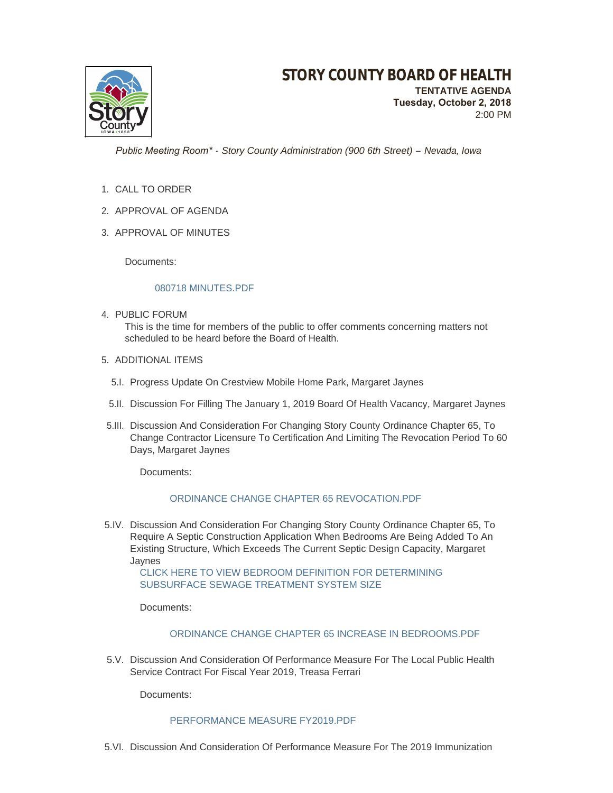

**TENTATIVE AGENDA Tuesday, October 2, 2018** 2:00 PM

 *Public Meeting Room\* - Story County Administration (900 6th Street) – Nevada, Iowa*

- 1. CALL TO ORDER
- 2. APPROVAL OF AGENDA
- 3. APPROVAL OF MINUTES

Documents:

#### [080718 MINUTES.PDF](http://www.storycountyiowa.gov/AgendaCenter/ViewFile/Item/12920?fileID=9881)

- 4. PUBLIC FORUM This is the time for members of the public to offer comments concerning matters not scheduled to be heard before the Board of Health.
- 5. ADDITIONAL ITEMS
	- 5.I. Progress Update On Crestview Mobile Home Park, Margaret Jaynes
	- 5.II. Discussion For Filling The January 1, 2019 Board Of Health Vacancy, Margaret Jaynes
- 5.III. Discussion And Consideration For Changing Story County Ordinance Chapter 65, To Change Contractor Licensure To Certification And Limiting The Revocation Period To 60 Days, Margaret Jaynes

Documents:

### [ORDINANCE CHANGE CHAPTER 65 REVOCATION.PDF](http://www.storycountyiowa.gov/AgendaCenter/ViewFile/Item/12912?fileID=9876)

5.IV. Discussion And Consideration For Changing Story County Ordinance Chapter 65, To Require A Septic Construction Application When Bedrooms Are Being Added To An Existing Structure, Which Exceeds The Current Septic Design Capacity, Margaret Jaynes

[CLICK HERE TO VIEW BEDROOM DEFINITION FOR DETERMINING](https://www.pca.state.mn.us/sites/default/files/wq-wwists4-02.pdf)  SUBSURFACE SEWAGE TREATMENT SYSTEM SIZE

Documents:

# [ORDINANCE CHANGE CHAPTER 65 INCREASE IN BEDROOMS.PDF](http://www.storycountyiowa.gov/AgendaCenter/ViewFile/Item/12913?fileID=9877)

5.V. Discussion And Consideration Of Performance Measure For The Local Public Health Service Contract For Fiscal Year 2019, Treasa Ferrari

Documents:

### [PERFORMANCE MEASURE FY2019.PDF](http://www.storycountyiowa.gov/AgendaCenter/ViewFile/Item/12901?fileID=9884)

5.VI. Discussion And Consideration Of Performance Measure For The 2019 Immunization